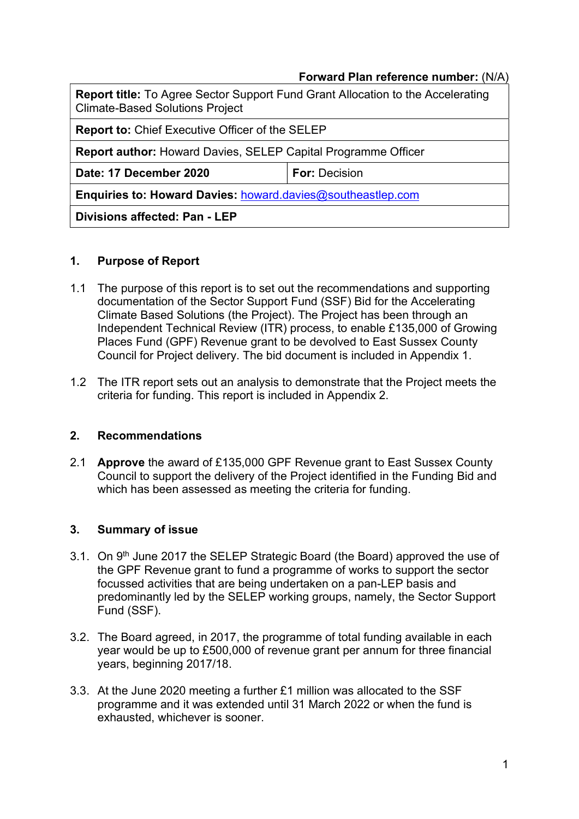## Forward Plan reference number: (N/A)

| <b>Report title:</b> To Agree Sector Support Fund Grant Allocation to the Accelerating<br><b>Climate-Based Solutions Project</b> |                      |  |
|----------------------------------------------------------------------------------------------------------------------------------|----------------------|--|
| <b>Report to: Chief Executive Officer of the SELEP</b>                                                                           |                      |  |
| <b>Report author: Howard Davies, SELEP Capital Programme Officer</b>                                                             |                      |  |
| Date: 17 December 2020                                                                                                           | <b>For: Decision</b> |  |
| Enquiries to: Howard Davies: howard.davies@southeastlep.com                                                                      |                      |  |
| Divisions affected: Pan - LEP                                                                                                    |                      |  |

## 1. Purpose of Report

- 1.1 The purpose of this report is to set out the recommendations and supporting documentation of the Sector Support Fund (SSF) Bid for the Accelerating Climate Based Solutions (the Project). The Project has been through an Independent Technical Review (ITR) process, to enable £135,000 of Growing Places Fund (GPF) Revenue grant to be devolved to East Sussex County Council for Project delivery. The bid document is included in Appendix 1.
- 1.2 The ITR report sets out an analysis to demonstrate that the Project meets the criteria for funding. This report is included in Appendix 2.

#### 2. Recommendations

2.1 **Approve** the award of £135,000 GPF Revenue grant to East Sussex County Council to support the delivery of the Project identified in the Funding Bid and which has been assessed as meeting the criteria for funding.

#### 3. Summary of issue

- 3.1. On 9<sup>th</sup> June 2017 the SELEP Strategic Board (the Board) approved the use of the GPF Revenue grant to fund a programme of works to support the sector focussed activities that are being undertaken on a pan-LEP basis and predominantly led by the SELEP working groups, namely, the Sector Support Fund (SSF).
- 3.2. The Board agreed, in 2017, the programme of total funding available in each year would be up to £500,000 of revenue grant per annum for three financial years, beginning 2017/18.
- 3.3. At the June 2020 meeting a further £1 million was allocated to the SSF programme and it was extended until 31 March 2022 or when the fund is exhausted, whichever is sooner.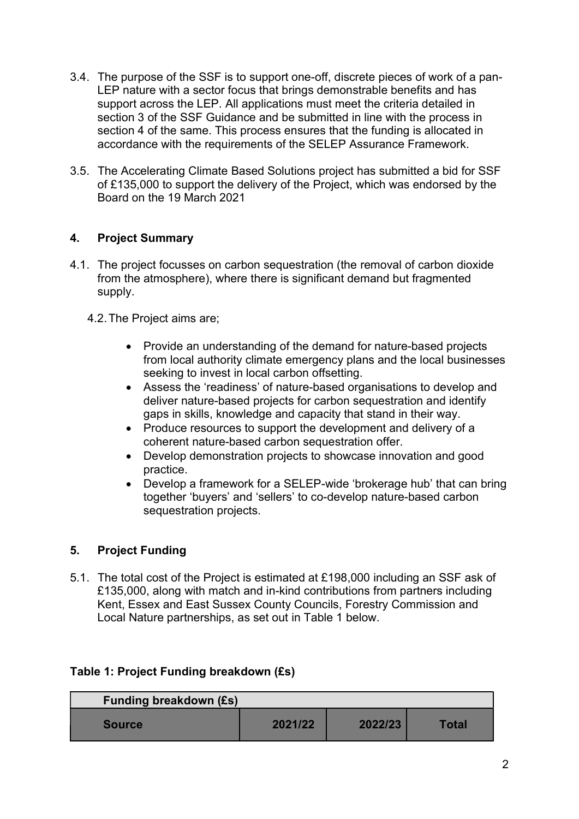- 3.4. The purpose of the SSF is to support one-off, discrete pieces of work of a pan-LEP nature with a sector focus that brings demonstrable benefits and has support across the LEP. All applications must meet the criteria detailed in section 3 of the SSF Guidance and be submitted in line with the process in section 4 of the same. This process ensures that the funding is allocated in accordance with the requirements of the SELEP Assurance Framework.
- 3.5. The Accelerating Climate Based Solutions project has submitted a bid for SSF of £135,000 to support the delivery of the Project, which was endorsed by the Board on the 19 March 2021

# 4. Project Summary

- 4.1. The project focusses on carbon sequestration (the removal of carbon dioxide from the atmosphere), where there is significant demand but fragmented supply.
	- 4.2. The Project aims are;
		- Provide an understanding of the demand for nature-based projects from local authority climate emergency plans and the local businesses seeking to invest in local carbon offsetting.
		- Assess the 'readiness' of nature-based organisations to develop and deliver nature-based projects for carbon sequestration and identify gaps in skills, knowledge and capacity that stand in their way.
		- Produce resources to support the development and delivery of a coherent nature-based carbon sequestration offer.
		- Develop demonstration projects to showcase innovation and good practice.
		- Develop a framework for a SELEP-wide 'brokerage hub' that can bring together 'buyers' and 'sellers' to co-develop nature-based carbon sequestration projects.

# 5. Project Funding

5.1. The total cost of the Project is estimated at £198,000 including an SSF ask of £135,000, along with match and in-kind contributions from partners including Kent, Essex and East Sussex County Councils, Forestry Commission and Local Nature partnerships, as set out in Table 1 below.

#### Table 1: Project Funding breakdown (£s)

| <b>Funding breakdown (£s)</b> |         |         |              |
|-------------------------------|---------|---------|--------------|
| <b>Source</b>                 | 2021/22 | 2022/23 | <b>Total</b> |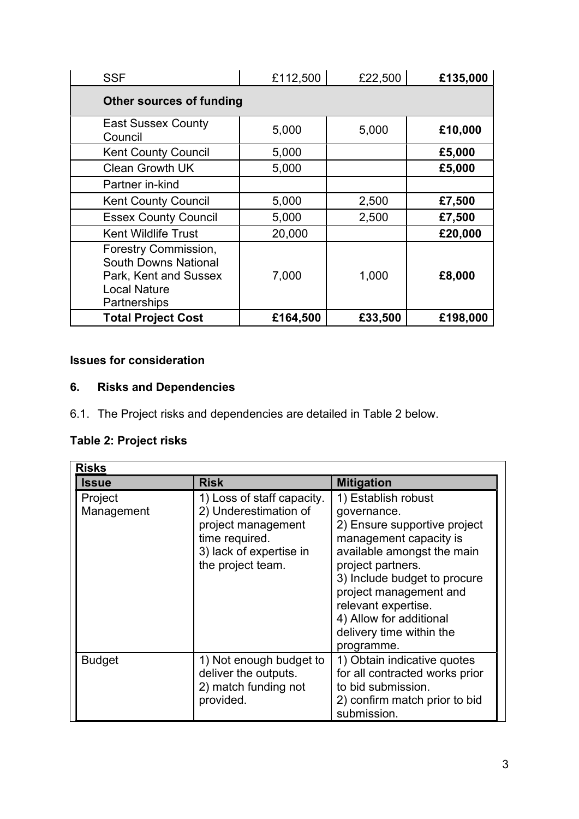| <b>SSF</b>                                                                                                                 | £112,500 | £22,500 | £135,000 |
|----------------------------------------------------------------------------------------------------------------------------|----------|---------|----------|
| <b>Other sources of funding</b>                                                                                            |          |         |          |
| <b>East Sussex County</b><br>Council                                                                                       | 5,000    | 5,000   | £10,000  |
| <b>Kent County Council</b>                                                                                                 | 5,000    |         | £5,000   |
| <b>Clean Growth UK</b>                                                                                                     | 5,000    |         | £5,000   |
| Partner in-kind                                                                                                            |          |         |          |
| <b>Kent County Council</b>                                                                                                 | 5,000    | 2,500   | £7,500   |
| <b>Essex County Council</b>                                                                                                | 5,000    | 2,500   | £7,500   |
| <b>Kent Wildlife Trust</b>                                                                                                 | 20,000   |         | £20,000  |
| <b>Forestry Commission,</b><br><b>South Downs National</b><br>Park, Kent and Sussex<br><b>Local Nature</b><br>Partnerships | 7,000    | 1,000   | £8,000   |
| <b>Total Project Cost</b>                                                                                                  | £164,500 | £33,500 | £198,000 |

# Issues for consideration

# 6. Risks and Dependencies

6.1. The Project risks and dependencies are detailed in Table 2 below.

# Table 2: Project risks

| <b>Risks</b>          |                                                                                                                                             |                                                                                                                                                                                                                                                                                                       |
|-----------------------|---------------------------------------------------------------------------------------------------------------------------------------------|-------------------------------------------------------------------------------------------------------------------------------------------------------------------------------------------------------------------------------------------------------------------------------------------------------|
| <b>Issue</b>          | <b>Risk</b>                                                                                                                                 | <b>Mitigation</b>                                                                                                                                                                                                                                                                                     |
| Project<br>Management | 1) Loss of staff capacity.<br>2) Underestimation of<br>project management<br>time required.<br>3) lack of expertise in<br>the project team. | 1) Establish robust<br>governance.<br>2) Ensure supportive project<br>management capacity is<br>available amongst the main<br>project partners.<br>3) Include budget to procure<br>project management and<br>relevant expertise.<br>4) Allow for additional<br>delivery time within the<br>programme. |
| <b>Budget</b>         | 1) Not enough budget to<br>deliver the outputs.<br>2) match funding not<br>provided.                                                        | 1) Obtain indicative quotes<br>for all contracted works prior<br>to bid submission.<br>2) confirm match prior to bid<br>submission.                                                                                                                                                                   |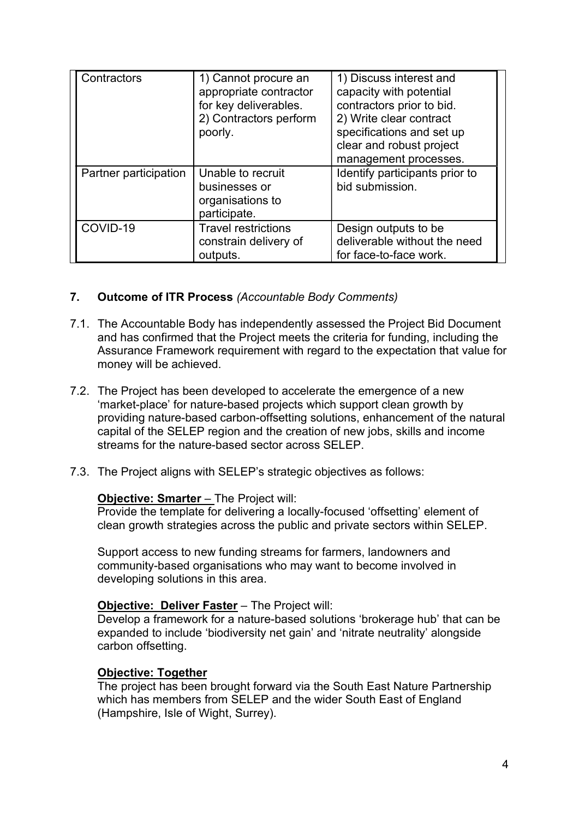| Contractors           | 1) Cannot procure an<br>appropriate contractor<br>for key deliverables.<br>2) Contractors perform<br>poorly. | 1) Discuss interest and<br>capacity with potential<br>contractors prior to bid.<br>2) Write clear contract<br>specifications and set up<br>clear and robust project<br>management processes. |
|-----------------------|--------------------------------------------------------------------------------------------------------------|----------------------------------------------------------------------------------------------------------------------------------------------------------------------------------------------|
| Partner participation | Unable to recruit<br>businesses or<br>organisations to<br>participate.                                       | Identify participants prior to<br>bid submission.                                                                                                                                            |
| COVID-19              | <b>Travel restrictions</b><br>constrain delivery of<br>outputs.                                              | Design outputs to be<br>deliverable without the need<br>for face-to-face work.                                                                                                               |

# 7. Outcome of ITR Process (Accountable Body Comments)

- 7.1. The Accountable Body has independently assessed the Project Bid Document and has confirmed that the Project meets the criteria for funding, including the Assurance Framework requirement with regard to the expectation that value for money will be achieved.
- 7.2. The Project has been developed to accelerate the emergence of a new 'market-place' for nature-based projects which support clean growth by providing nature-based carbon-offsetting solutions, enhancement of the natural capital of the SELEP region and the creation of new jobs, skills and income streams for the nature-based sector across SELEP.
- 7.3. The Project aligns with SELEP's strategic objectives as follows:

#### Objective: Smarter – The Project will:

Provide the template for delivering a locally-focused 'offsetting' element of clean growth strategies across the public and private sectors within SELEP.

Support access to new funding streams for farmers, landowners and community-based organisations who may want to become involved in developing solutions in this area.

# Objective: Deliver Faster – The Project will:

Develop a framework for a nature-based solutions 'brokerage hub' that can be expanded to include 'biodiversity net gain' and 'nitrate neutrality' alongside carbon offsetting.

#### Objective: Together

The project has been brought forward via the South East Nature Partnership which has members from SELEP and the wider South East of England (Hampshire, Isle of Wight, Surrey).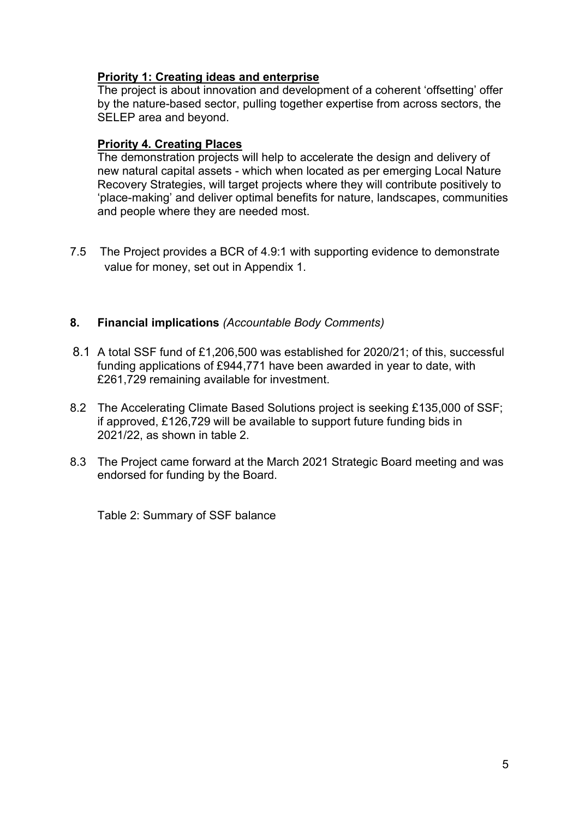# Priority 1: Creating ideas and enterprise

The project is about innovation and development of a coherent 'offsetting' offer by the nature-based sector, pulling together expertise from across sectors, the SELEP area and beyond.

#### Priority 4. Creating Places

The demonstration projects will help to accelerate the design and delivery of new natural capital assets - which when located as per emerging Local Nature Recovery Strategies, will target projects where they will contribute positively to 'place-making' and deliver optimal benefits for nature, landscapes, communities and people where they are needed most.

7.5 The Project provides a BCR of 4.9:1 with supporting evidence to demonstrate value for money, set out in Appendix 1.

## 8. Financial implications (Accountable Body Comments)

- 8.1 A total SSF fund of £1,206,500 was established for 2020/21; of this, successful funding applications of £944,771 have been awarded in year to date, with £261,729 remaining available for investment.
- 8.2 The Accelerating Climate Based Solutions project is seeking £135,000 of SSF; if approved, £126,729 will be available to support future funding bids in 2021/22, as shown in table 2.
- 8.3 The Project came forward at the March 2021 Strategic Board meeting and was endorsed for funding by the Board.

Table 2: Summary of SSF balance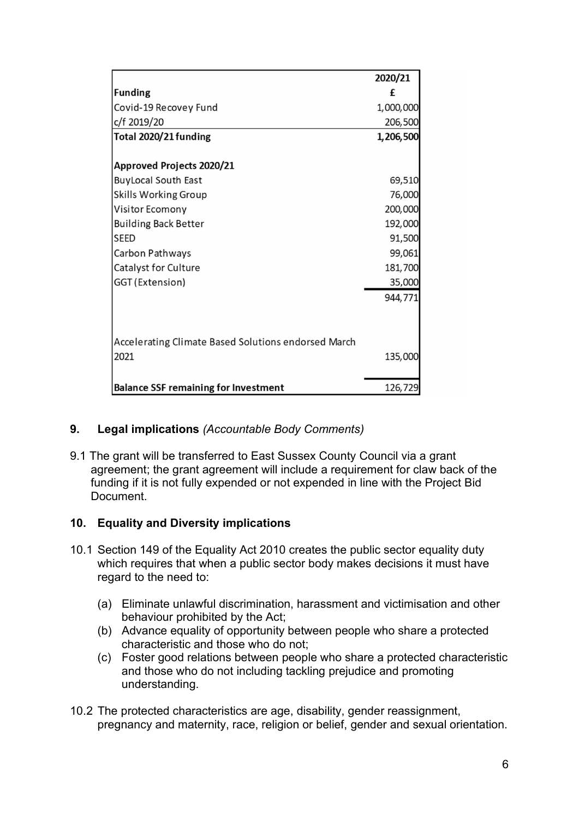|                                                     | 2020/21   |
|-----------------------------------------------------|-----------|
| <b>Funding</b>                                      | £         |
| Covid-19 Recovey Fund                               | 1,000,000 |
| c/f 2019/20                                         | 206,500   |
| Total 2020/21 funding                               | 1,206,500 |
| <b>Approved Projects 2020/21</b>                    |           |
| <b>BuyLocal South East</b>                          | 69,510    |
| Skills Working Group                                | 76,000    |
| Visitor Ecomony                                     | 200,000   |
| <b>Building Back Better</b>                         | 192,000   |
| <b>SEED</b>                                         | 91,500    |
| Carbon Pathways                                     | 99,061    |
| Catalyst for Culture                                | 181,700   |
| GGT (Extension)                                     | 35,000    |
|                                                     | 944,771   |
| Accelerating Climate Based Solutions endorsed March |           |
| 2021                                                | 135,000   |
| <b>Balance SSF remaining for Investment</b>         | 126,729   |

# 9. Legal implications (Accountable Body Comments)

9.1 The grant will be transferred to East Sussex County Council via a grant agreement; the grant agreement will include a requirement for claw back of the funding if it is not fully expended or not expended in line with the Project Bid **Document** 

# 10. Equality and Diversity implications

- 10.1 Section 149 of the Equality Act 2010 creates the public sector equality duty which requires that when a public sector body makes decisions it must have regard to the need to:
	- (a) Eliminate unlawful discrimination, harassment and victimisation and other behaviour prohibited by the Act;
	- (b) Advance equality of opportunity between people who share a protected characteristic and those who do not;
	- (c) Foster good relations between people who share a protected characteristic and those who do not including tackling prejudice and promoting understanding.
- 10.2 The protected characteristics are age, disability, gender reassignment, pregnancy and maternity, race, religion or belief, gender and sexual orientation.